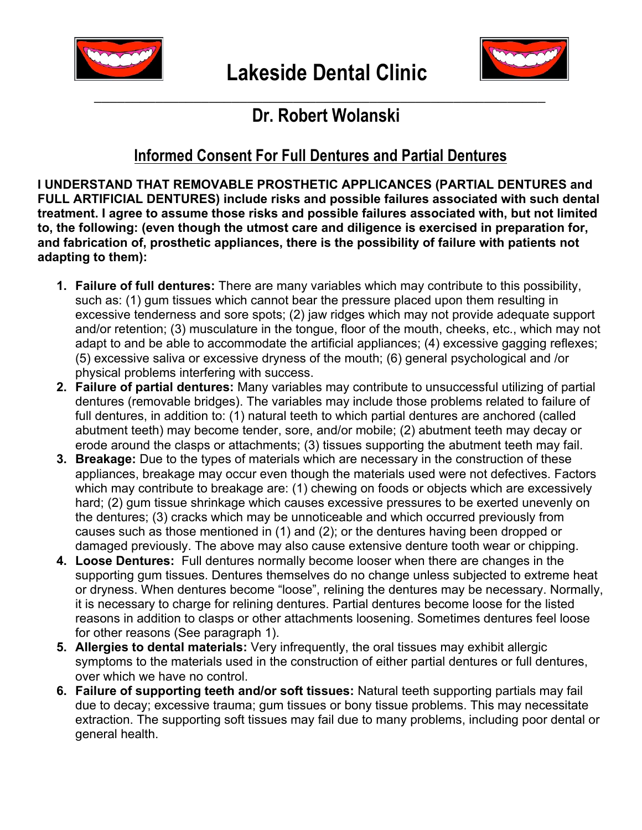



## \_\_\_\_\_\_\_\_\_\_\_\_\_\_\_\_\_\_\_\_\_\_\_\_\_\_\_\_\_\_\_\_\_\_\_\_\_\_\_\_\_\_\_\_\_\_\_\_\_\_\_\_\_\_\_\_\_\_\_  **Dr. Robert Wolanski**

## **Informed Consent For Full Dentures and Partial Dentures**

**I UNDERSTAND THAT REMOVABLE PROSTHETIC APPLICANCES (PARTIAL DENTURES and FULL ARTIFICIAL DENTURES) include risks and possible failures associated with such dental treatment. I agree to assume those risks and possible failures associated with, but not limited to, the following: (even though the utmost care and diligence is exercised in preparation for, and fabrication of, prosthetic appliances, there is the possibility of failure with patients not adapting to them):** 

- **1. Failure of full dentures:** There are many variables which may contribute to this possibility, such as: (1) gum tissues which cannot bear the pressure placed upon them resulting in excessive tenderness and sore spots; (2) jaw ridges which may not provide adequate support and/or retention; (3) musculature in the tongue, floor of the mouth, cheeks, etc., which may not adapt to and be able to accommodate the artificial appliances; (4) excessive gagging reflexes; (5) excessive saliva or excessive dryness of the mouth; (6) general psychological and /or physical problems interfering with success.
- **2. Failure of partial dentures:** Many variables may contribute to unsuccessful utilizing of partial dentures (removable bridges). The variables may include those problems related to failure of full dentures, in addition to: (1) natural teeth to which partial dentures are anchored (called abutment teeth) may become tender, sore, and/or mobile; (2) abutment teeth may decay or erode around the clasps or attachments; (3) tissues supporting the abutment teeth may fail.
- **3. Breakage:** Due to the types of materials which are necessary in the construction of these appliances, breakage may occur even though the materials used were not defectives. Factors which may contribute to breakage are: (1) chewing on foods or objects which are excessively hard; (2) gum tissue shrinkage which causes excessive pressures to be exerted unevenly on the dentures; (3) cracks which may be unnoticeable and which occurred previously from causes such as those mentioned in (1) and (2); or the dentures having been dropped or damaged previously. The above may also cause extensive denture tooth wear or chipping.
- **4. Loose Dentures:** Full dentures normally become looser when there are changes in the supporting gum tissues. Dentures themselves do no change unless subjected to extreme heat or dryness. When dentures become "loose", relining the dentures may be necessary. Normally, it is necessary to charge for relining dentures. Partial dentures become loose for the listed reasons in addition to clasps or other attachments loosening. Sometimes dentures feel loose for other reasons (See paragraph 1).
- **5. Allergies to dental materials:** Very infrequently, the oral tissues may exhibit allergic symptoms to the materials used in the construction of either partial dentures or full dentures, over which we have no control.
- **6. Failure of supporting teeth and/or soft tissues:** Natural teeth supporting partials may fail due to decay; excessive trauma; gum tissues or bony tissue problems. This may necessitate extraction. The supporting soft tissues may fail due to many problems, including poor dental or general health.